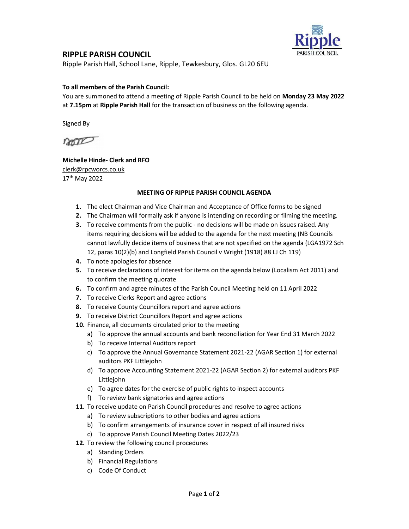

## RIPPLE PARISH COUNCIL

Ripple Parish Hall, School Lane, Ripple, Tewkesbury, Glos. GL20 6EU

### To all members of the Parish Council:

You are summoned to attend a meeting of Ripple Parish Council to be held on Monday 23 May 2022 at 7.15pm at Ripple Parish Hall for the transaction of business on the following agenda.

Signed By

non

## Michelle Hinde- Clerk and RFO clerk@rpcworcs.co.uk 17th May 2022

#### MEETING OF RIPPLE PARISH COUNCIL AGENDA

- 1. The elect Chairman and Vice Chairman and Acceptance of Office forms to be signed
- 2. The Chairman will formally ask if anyone is intending on recording or filming the meeting.
- 3. To receive comments from the public no decisions will be made on issues raised. Any items requiring decisions will be added to the agenda for the next meeting (NB Councils cannot lawfully decide items of business that are not specified on the agenda (LGA1972 Sch 12, paras 10(2)(b) and Longfield Parish Council v Wright (1918) 88 LJ Ch 119)
- 4. To note apologies for absence
- 5. To receive declarations of interest for items on the agenda below (Localism Act 2011) and to confirm the meeting quorate
- 6. To confirm and agree minutes of the Parish Council Meeting held on 11 April 2022
- 7. To receive Clerks Report and agree actions
- 8. To receive County Councillors report and agree actions
- 9. To receive District Councillors Report and agree actions
- 10. Finance, all documents circulated prior to the meeting
	- a) To approve the annual accounts and bank reconciliation for Year End 31 March 2022
	- b) To receive Internal Auditors report
	- c) To approve the Annual Governance Statement 2021-22 (AGAR Section 1) for external auditors PKF Littlejohn
	- d) To approve Accounting Statement 2021-22 (AGAR Section 2) for external auditors PKF Littlejohn
	- e) To agree dates for the exercise of public rights to inspect accounts
	- f) To review bank signatories and agree actions
- 11. To receive update on Parish Council procedures and resolve to agree actions
	- a) To review subscriptions to other bodies and agree actions
	- b) To confirm arrangements of insurance cover in respect of all insured risks
	- c) To approve Parish Council Meeting Dates 2022/23
- 12. To review the following council procedures
	- a) Standing Orders
	- b) Financial Regulations
	- c) Code Of Conduct